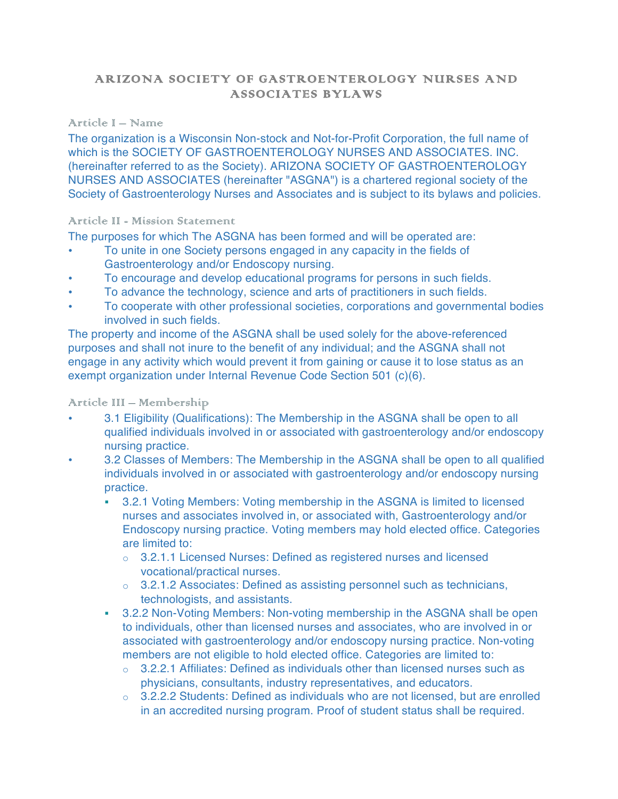# ARIZONA SOCIETY OF GASTROENTEROLOGY NURSES AND ASSOCIATES BYLAWS

## Article I – Name

The organization is a Wisconsin Non-stock and Not-for-Profit Corporation, the full name of which is the SOCIETY OF GASTROENTEROLOGY NURSES AND ASSOCIATES. INC. (hereinafter referred to as the Society). ARIZONA SOCIETY OF GASTROENTEROLOGY NURSES AND ASSOCIATES (hereinafter "ASGNA") is a chartered regional society of the Society of Gastroenterology Nurses and Associates and is subject to its bylaws and policies.

## Article II - Mission Statement

The purposes for which The ASGNA has been formed and will be operated are:

- To unite in one Society persons engaged in any capacity in the fields of Gastroenterology and/or Endoscopy nursing.
- To encourage and develop educational programs for persons in such fields.
- To advance the technology, science and arts of practitioners in such fields.
- To cooperate with other professional societies, corporations and governmental bodies involved in such fields.

The property and income of the ASGNA shall be used solely for the above-referenced purposes and shall not inure to the benefit of any individual; and the ASGNA shall not engage in any activity which would prevent it from gaining or cause it to lose status as an exempt organization under Internal Revenue Code Section 501 (c)(6).

#### Article III – Membership

- 3.1 Eligibility (Qualifications): The Membership in the ASGNA shall be open to all qualified individuals involved in or associated with gastroenterology and/or endoscopy nursing practice.
- 3.2 Classes of Members: The Membership in the ASGNA shall be open to all qualified individuals involved in or associated with gastroenterology and/or endoscopy nursing practice.
	- ! 3.2.1 Voting Members: Voting membership in the ASGNA is limited to licensed nurses and associates involved in, or associated with, Gastroenterology and/or Endoscopy nursing practice. Voting members may hold elected office. Categories are limited to:
		- o 3.2.1.1 Licensed Nurses: Defined as registered nurses and licensed vocational/practical nurses.
		- o 3.2.1.2 Associates: Defined as assisting personnel such as technicians, technologists, and assistants.
	- **.** 3.2.2 Non-Voting Members: Non-voting membership in the ASGNA shall be open to individuals, other than licensed nurses and associates, who are involved in or associated with gastroenterology and/or endoscopy nursing practice. Non-voting members are not eligible to hold elected office. Categories are limited to:
		- $\circ$  3.2.2.1 Affiliates: Defined as individuals other than licensed nurses such as physicians, consultants, industry representatives, and educators.
		- $\circ$  3.2.2.2 Students: Defined as individuals who are not licensed, but are enrolled in an accredited nursing program. Proof of student status shall be required.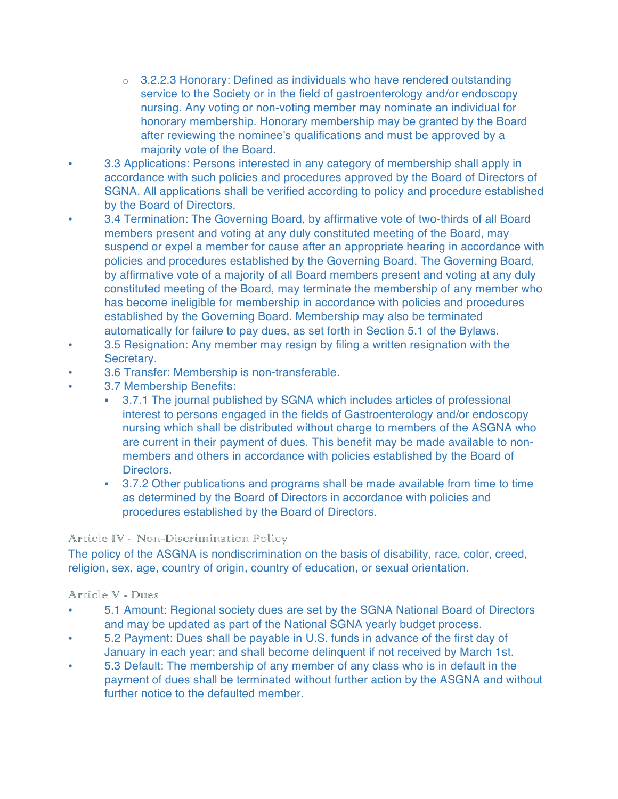- $\circ$  3.2.2.3 Honorary: Defined as individuals who have rendered outstanding service to the Society or in the field of gastroenterology and/or endoscopy nursing. Any voting or non-voting member may nominate an individual for honorary membership. Honorary membership may be granted by the Board after reviewing the nominee's qualifications and must be approved by a majority vote of the Board.
- 3.3 Applications: Persons interested in any category of membership shall apply in accordance with such policies and procedures approved by the Board of Directors of SGNA. All applications shall be verified according to policy and procedure established by the Board of Directors.
- 3.4 Termination: The Governing Board, by affirmative vote of two-thirds of all Board members present and voting at any duly constituted meeting of the Board, may suspend or expel a member for cause after an appropriate hearing in accordance with policies and procedures established by the Governing Board. The Governing Board, by affirmative vote of a majority of all Board members present and voting at any duly constituted meeting of the Board, may terminate the membership of any member who has become ineligible for membership in accordance with policies and procedures established by the Governing Board. Membership may also be terminated automatically for failure to pay dues, as set forth in Section 5.1 of the Bylaws.
- 3.5 Resignation: Any member may resign by filing a written resignation with the Secretary.
- 3.6 Transfer: Membership is non-transferable.
- 3.7 Membership Benefits:
	- ! 3.7.1 The journal published by SGNA which includes articles of professional interest to persons engaged in the fields of Gastroenterology and/or endoscopy nursing which shall be distributed without charge to members of the ASGNA who are current in their payment of dues. This benefit may be made available to nonmembers and others in accordance with policies established by the Board of Directors.
	- ! 3.7.2 Other publications and programs shall be made available from time to time as determined by the Board of Directors in accordance with policies and procedures established by the Board of Directors.

#### Article IV - Non-Discrimination Policy

The policy of the ASGNA is nondiscrimination on the basis of disability, race, color, creed, religion, sex, age, country of origin, country of education, or sexual orientation.

#### Article V - Dures

- 5.1 Amount: Regional society dues are set by the SGNA National Board of Directors and may be updated as part of the National SGNA yearly budget process.
- 5.2 Payment: Dues shall be payable in U.S. funds in advance of the first day of January in each year; and shall become delinquent if not received by March 1st.
- 5.3 Default: The membership of any member of any class who is in default in the payment of dues shall be terminated without further action by the ASGNA and without further notice to the defaulted member.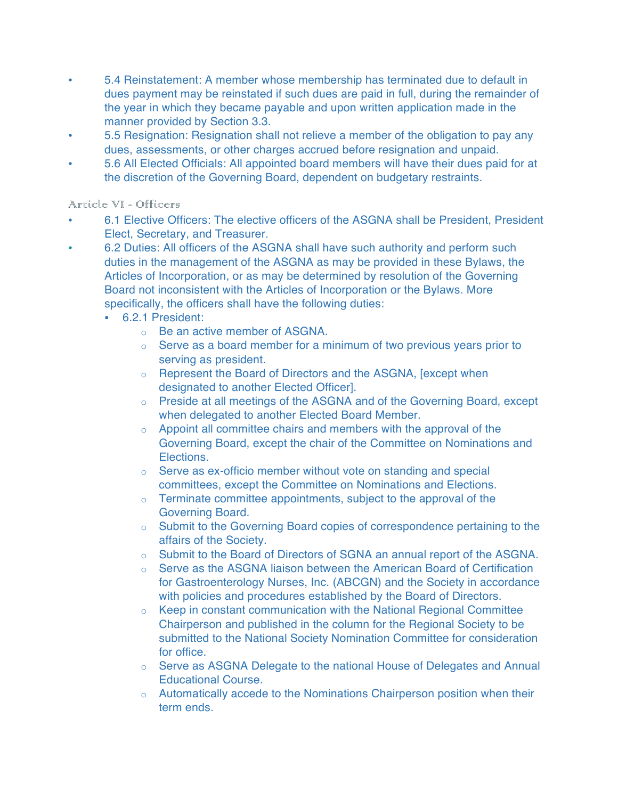- 5.4 Reinstatement: A member whose membership has terminated due to default in dues payment may be reinstated if such dues are paid in full, during the remainder of the year in which they became payable and upon written application made in the manner provided by Section 3.3.
- 5.5 Resignation: Resignation shall not relieve a member of the obligation to pay any dues, assessments, or other charges accrued before resignation and unpaid.
- 5.6 All Elected Officials: All appointed board members will have their dues paid for at the discretion of the Governing Board, dependent on budgetary restraints.

## Article VI - Officers

- 6.1 Elective Officers: The elective officers of the ASGNA shall be President, President Elect, Secretary, and Treasurer.
- 6.2 Duties: All officers of the ASGNA shall have such authority and perform such duties in the management of the ASGNA as may be provided in these Bylaws, the Articles of Incorporation, or as may be determined by resolution of the Governing Board not inconsistent with the Articles of Incorporation or the Bylaws. More specifically, the officers shall have the following duties:
	- ! 6.2.1 President:
		- o Be an active member of ASGNA.
		- o Serve as a board member for a minimum of two previous years prior to serving as president.
		- o Represent the Board of Directors and the ASGNA, [except when designated to another Elected Officer].
		- o Preside at all meetings of the ASGNA and of the Governing Board, except when delegated to another Elected Board Member.
		- $\circ$  Appoint all committee chairs and members with the approval of the Governing Board, except the chair of the Committee on Nominations and Elections.
		- o Serve as ex-officio member without vote on standing and special committees, except the Committee on Nominations and Elections.
		- $\circ$  Terminate committee appointments, subject to the approval of the Governing Board.
		- o Submit to the Governing Board copies of correspondence pertaining to the affairs of the Society.
		- o Submit to the Board of Directors of SGNA an annual report of the ASGNA.
		- o Serve as the ASGNA liaison between the American Board of Certification for Gastroenterology Nurses, Inc. (ABCGN) and the Society in accordance with policies and procedures established by the Board of Directors.
		- o Keep in constant communication with the National Regional Committee Chairperson and published in the column for the Regional Society to be submitted to the National Society Nomination Committee for consideration for office.
		- o Serve as ASGNA Delegate to the national House of Delegates and Annual Educational Course.
		- o Automatically accede to the Nominations Chairperson position when their term ends.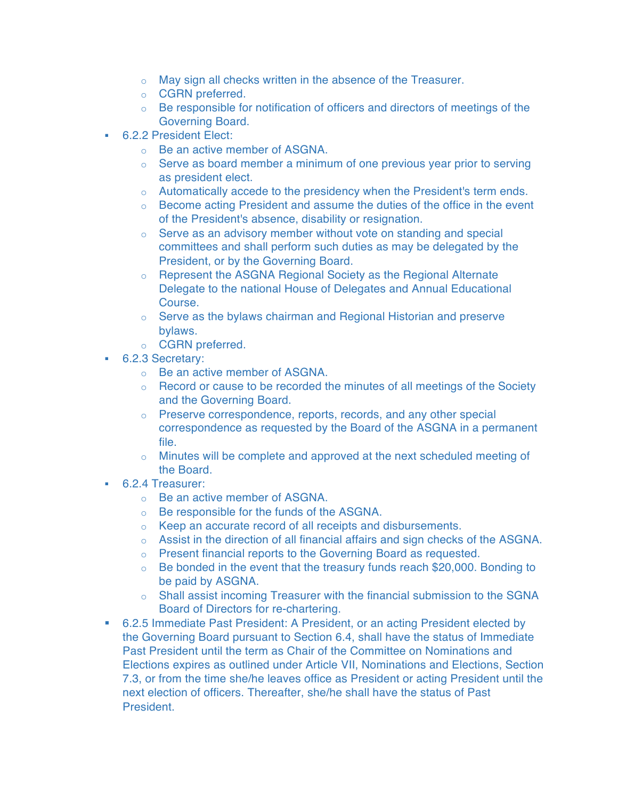- o May sign all checks written in the absence of the Treasurer.
- o CGRN preferred.
- $\circ$  Be responsible for notification of officers and directors of meetings of the Governing Board.
- ! 6.2.2 President Elect:
	- o Be an active member of ASGNA.
	- $\circ$  Serve as board member a minimum of one previous year prior to serving as president elect.
	- o Automatically accede to the presidency when the President's term ends.
	- $\circ$  Become acting President and assume the duties of the office in the event of the President's absence, disability or resignation.
	- o Serve as an advisory member without vote on standing and special committees and shall perform such duties as may be delegated by the President, or by the Governing Board.
	- o Represent the ASGNA Regional Society as the Regional Alternate Delegate to the national House of Delegates and Annual Educational Course.
	- o Serve as the bylaws chairman and Regional Historian and preserve bylaws.
	- o CGRN preferred.
- ! 6.2.3 Secretary:
	- o Be an active member of ASGNA.
	- $\circ$  Record or cause to be recorded the minutes of all meetings of the Society and the Governing Board.
	- o Preserve correspondence, reports, records, and any other special correspondence as requested by the Board of the ASGNA in a permanent file.
	- $\circ$  Minutes will be complete and approved at the next scheduled meeting of the Board.
- ! 6.2.4 Treasurer:
	- o Be an active member of ASGNA.
	- o Be responsible for the funds of the ASGNA.
	- o Keep an accurate record of all receipts and disbursements.
	- $\circ$  Assist in the direction of all financial affairs and sign checks of the ASGNA.
	- o Present financial reports to the Governing Board as requested.
	- $\circ$  Be bonded in the event that the treasury funds reach \$20,000. Bonding to be paid by ASGNA.
	- o Shall assist incoming Treasurer with the financial submission to the SGNA Board of Directors for re-chartering.
- ! 6.2.5 Immediate Past President: A President, or an acting President elected by the Governing Board pursuant to Section 6.4, shall have the status of Immediate Past President until the term as Chair of the Committee on Nominations and Elections expires as outlined under Article VII, Nominations and Elections, Section 7.3, or from the time she/he leaves office as President or acting President until the next election of officers. Thereafter, she/he shall have the status of Past President.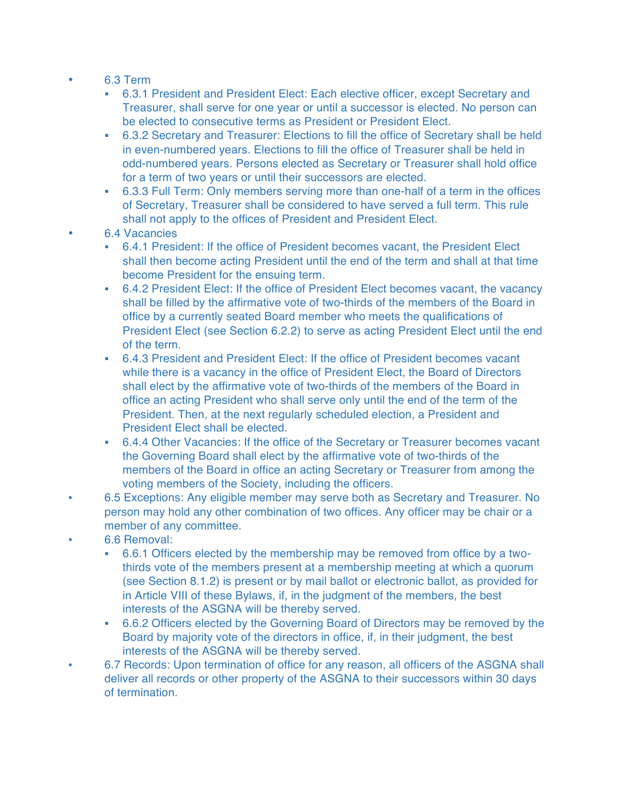- 6.3 Term
	- ! 6.3.1 President and President Elect: Each elective officer, except Secretary and Treasurer, shall serve for one year or until a successor is elected. No person can be elected to consecutive terms as President or President Elect.
	- ! 6.3.2 Secretary and Treasurer: Elections to fill the office of Secretary shall be held in even-numbered years. Elections to fill the office of Treasurer shall be held in odd-numbered years. Persons elected as Secretary or Treasurer shall hold office for a term of two years or until their successors are elected.
	- ! 6.3.3 Full Term: Only members serving more than one-half of a term in the offices of Secretary, Treasurer shall be considered to have served a full term. This rule shall not apply to the offices of President and President Elect.
- 6.4 Vacancies
	- ! 6.4.1 President: If the office of President becomes vacant, the President Elect shall then become acting President until the end of the term and shall at that time become President for the ensuing term.
	- ! 6.4.2 President Elect: If the office of President Elect becomes vacant, the vacancy shall be filled by the affirmative vote of two-thirds of the members of the Board in office by a currently seated Board member who meets the qualifications of President Elect (see Section 6.2.2) to serve as acting President Elect until the end of the term.
	- ! 6.4.3 President and President Elect: If the office of President becomes vacant while there is a vacancy in the office of President Elect, the Board of Directors shall elect by the affirmative vote of two-thirds of the members of the Board in office an acting President who shall serve only until the end of the term of the President. Then, at the next regularly scheduled election, a President and President Elect shall be elected.
	- ! 6.4.4 Other Vacancies: If the office of the Secretary or Treasurer becomes vacant the Governing Board shall elect by the affirmative vote of two-thirds of the members of the Board in office an acting Secretary or Treasurer from among the voting members of the Society, including the officers.
- 6.5 Exceptions: Any eligible member may serve both as Secretary and Treasurer. No person may hold any other combination of two offices. Any officer may be chair or a member of any committee.
- 6.6 Removal:
	- ! 6.6.1 Officers elected by the membership may be removed from office by a twothirds vote of the members present at a membership meeting at which a quorum (see Section 8.1.2) is present or by mail ballot or electronic ballot, as provided for in Article VIII of these Bylaws, if, in the judgment of the members, the best interests of the ASGNA will be thereby served.
	- ! 6.6.2 Officers elected by the Governing Board of Directors may be removed by the Board by majority vote of the directors in office, if, in their judgment, the best interests of the ASGNA will be thereby served.
- 6.7 Records: Upon termination of office for any reason, all officers of the ASGNA shall deliver all records or other property of the ASGNA to their successors within 30 days of termination.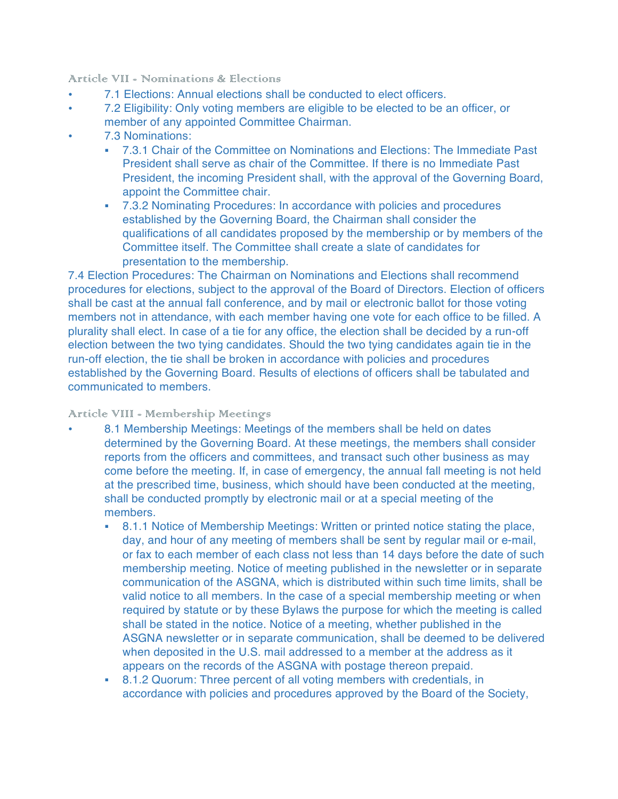Article VII - Nominations & Elections

- 7.1 Elections: Annual elections shall be conducted to elect officers.
- 7.2 Eligibility: Only voting members are eligible to be elected to be an officer, or member of any appointed Committee Chairman.
- 7.3 Nominations:
	- ! 7.3.1 Chair of the Committee on Nominations and Elections: The Immediate Past President shall serve as chair of the Committee. If there is no Immediate Past President, the incoming President shall, with the approval of the Governing Board, appoint the Committee chair.
	- ! 7.3.2 Nominating Procedures: In accordance with policies and procedures established by the Governing Board, the Chairman shall consider the qualifications of all candidates proposed by the membership or by members of the Committee itself. The Committee shall create a slate of candidates for presentation to the membership.

7.4 Election Procedures: The Chairman on Nominations and Elections shall recommend procedures for elections, subject to the approval of the Board of Directors. Election of officers shall be cast at the annual fall conference, and by mail or electronic ballot for those voting members not in attendance, with each member having one vote for each office to be filled. A plurality shall elect. In case of a tie for any office, the election shall be decided by a run-off election between the two tying candidates. Should the two tying candidates again tie in the run-off election, the tie shall be broken in accordance with policies and procedures established by the Governing Board. Results of elections of officers shall be tabulated and communicated to members.

## Article VIII - Membership Meetings

- 8.1 Membership Meetings: Meetings of the members shall be held on dates determined by the Governing Board. At these meetings, the members shall consider reports from the officers and committees, and transact such other business as may come before the meeting. If, in case of emergency, the annual fall meeting is not held at the prescribed time, business, which should have been conducted at the meeting, shall be conducted promptly by electronic mail or at a special meeting of the members.
	- ! 8.1.1 Notice of Membership Meetings: Written or printed notice stating the place, day, and hour of any meeting of members shall be sent by regular mail or e-mail, or fax to each member of each class not less than 14 days before the date of such membership meeting. Notice of meeting published in the newsletter or in separate communication of the ASGNA, which is distributed within such time limits, shall be valid notice to all members. In the case of a special membership meeting or when required by statute or by these Bylaws the purpose for which the meeting is called shall be stated in the notice. Notice of a meeting, whether published in the ASGNA newsletter or in separate communication, shall be deemed to be delivered when deposited in the U.S. mail addressed to a member at the address as it appears on the records of the ASGNA with postage thereon prepaid.
	- ! 8.1.2 Quorum: Three percent of all voting members with credentials, in accordance with policies and procedures approved by the Board of the Society,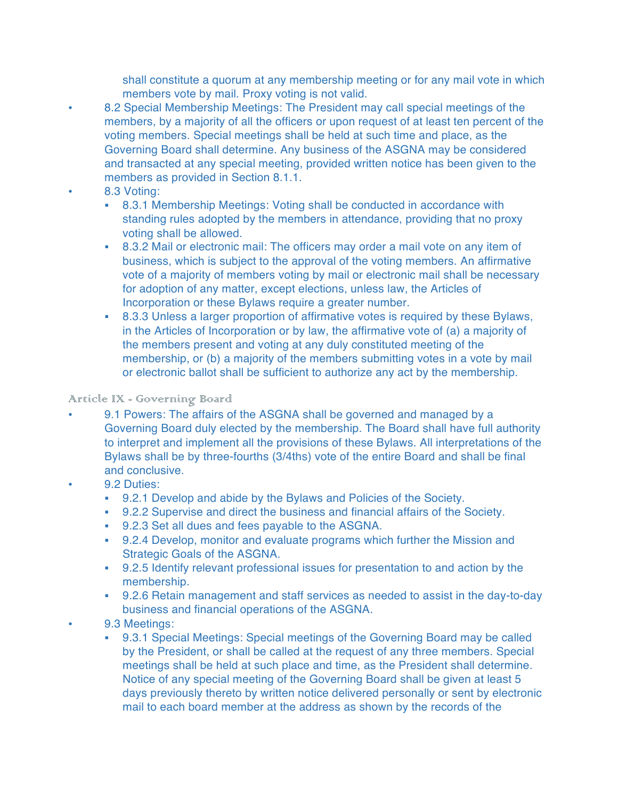shall constitute a quorum at any membership meeting or for any mail vote in which members vote by mail. Proxy voting is not valid.

- 8.2 Special Membership Meetings: The President may call special meetings of the members, by a majority of all the officers or upon request of at least ten percent of the voting members. Special meetings shall be held at such time and place, as the Governing Board shall determine. Any business of the ASGNA may be considered and transacted at any special meeting, provided written notice has been given to the members as provided in Section 8.1.1.
- 8.3 Voting:
	- **.** 8.3.1 Membership Meetings: Voting shall be conducted in accordance with standing rules adopted by the members in attendance, providing that no proxy voting shall be allowed.
	- ! 8.3.2 Mail or electronic mail: The officers may order a mail vote on any item of business, which is subject to the approval of the voting members. An affirmative vote of a majority of members voting by mail or electronic mail shall be necessary for adoption of any matter, except elections, unless law, the Articles of Incorporation or these Bylaws require a greater number.
	- ! 8.3.3 Unless a larger proportion of affirmative votes is required by these Bylaws, in the Articles of Incorporation or by law, the affirmative vote of (a) a majority of the members present and voting at any duly constituted meeting of the membership, or (b) a majority of the members submitting votes in a vote by mail or electronic ballot shall be sufficient to authorize any act by the membership.

## Article IX - Governing Board

- 9.1 Powers: The affairs of the ASGNA shall be governed and managed by a Governing Board duly elected by the membership. The Board shall have full authority to interpret and implement all the provisions of these Bylaws. All interpretations of the Bylaws shall be by three-fourths (3/4ths) vote of the entire Board and shall be final and conclusive.
- 9.2 Duties:
	- ! 9.2.1 Develop and abide by the Bylaws and Policies of the Society.
	- ! 9.2.2 Supervise and direct the business and financial affairs of the Society.
	- ! 9.2.3 Set all dues and fees payable to the ASGNA.
	- ! 9.2.4 Develop, monitor and evaluate programs which further the Mission and Strategic Goals of the ASGNA.
	- ! 9.2.5 Identify relevant professional issues for presentation to and action by the membership.
	- ! 9.2.6 Retain management and staff services as needed to assist in the day-to-day business and financial operations of the ASGNA.
- 9.3 Meetings:
	- ! 9.3.1 Special Meetings: Special meetings of the Governing Board may be called by the President, or shall be called at the request of any three members. Special meetings shall be held at such place and time, as the President shall determine. Notice of any special meeting of the Governing Board shall be given at least 5 days previously thereto by written notice delivered personally or sent by electronic mail to each board member at the address as shown by the records of the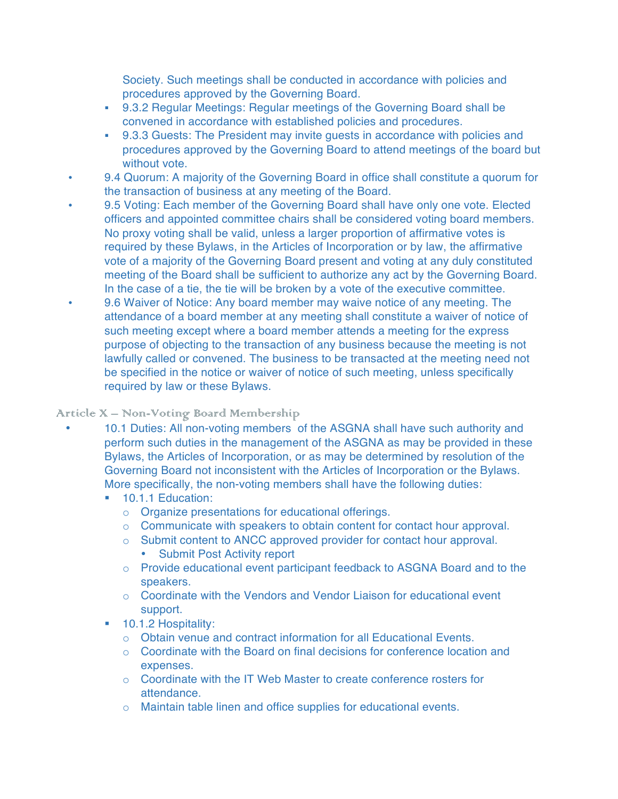Society. Such meetings shall be conducted in accordance with policies and procedures approved by the Governing Board.

- ! 9.3.2 Regular Meetings: Regular meetings of the Governing Board shall be convened in accordance with established policies and procedures.
- ! 9.3.3 Guests: The President may invite guests in accordance with policies and procedures approved by the Governing Board to attend meetings of the board but without vote.
- 9.4 Quorum: A majority of the Governing Board in office shall constitute a quorum for the transaction of business at any meeting of the Board.
- 9.5 Voting: Each member of the Governing Board shall have only one vote. Elected officers and appointed committee chairs shall be considered voting board members. No proxy voting shall be valid, unless a larger proportion of affirmative votes is required by these Bylaws, in the Articles of Incorporation or by law, the affirmative vote of a majority of the Governing Board present and voting at any duly constituted meeting of the Board shall be sufficient to authorize any act by the Governing Board. In the case of a tie, the tie will be broken by a vote of the executive committee.
- 9.6 Waiver of Notice: Any board member may waive notice of any meeting. The attendance of a board member at any meeting shall constitute a waiver of notice of such meeting except where a board member attends a meeting for the express purpose of objecting to the transaction of any business because the meeting is not lawfully called or convened. The business to be transacted at the meeting need not be specified in the notice or waiver of notice of such meeting, unless specifically required by law or these Bylaws.

## Article X – Non-Voting Board Membership

- 10.1 Duties: All non-voting members of the ASGNA shall have such authority and perform such duties in the management of the ASGNA as may be provided in these Bylaws, the Articles of Incorporation, or as may be determined by resolution of the Governing Board not inconsistent with the Articles of Incorporation or the Bylaws. More specifically, the non-voting members shall have the following duties:
	- **10.1.1 Education:** 
		- o Organize presentations for educational offerings.
		- $\circ$  Communicate with speakers to obtain content for contact hour approval.
		- o Submit content to ANCC approved provider for contact hour approval.
			- Submit Post Activity report
		- o Provide educational event participant feedback to ASGNA Board and to the speakers.
		- $\circ$  Coordinate with the Vendors and Vendor Liaison for educational event support.
	- ! 10.1.2 Hospitality:
		- $\circ$  Obtain venue and contract information for all Educational Events.
		- $\circ$  Coordinate with the Board on final decisions for conference location and expenses.
		- $\circ$  Coordinate with the IT Web Master to create conference rosters for attendance.
		- o Maintain table linen and office supplies for educational events.